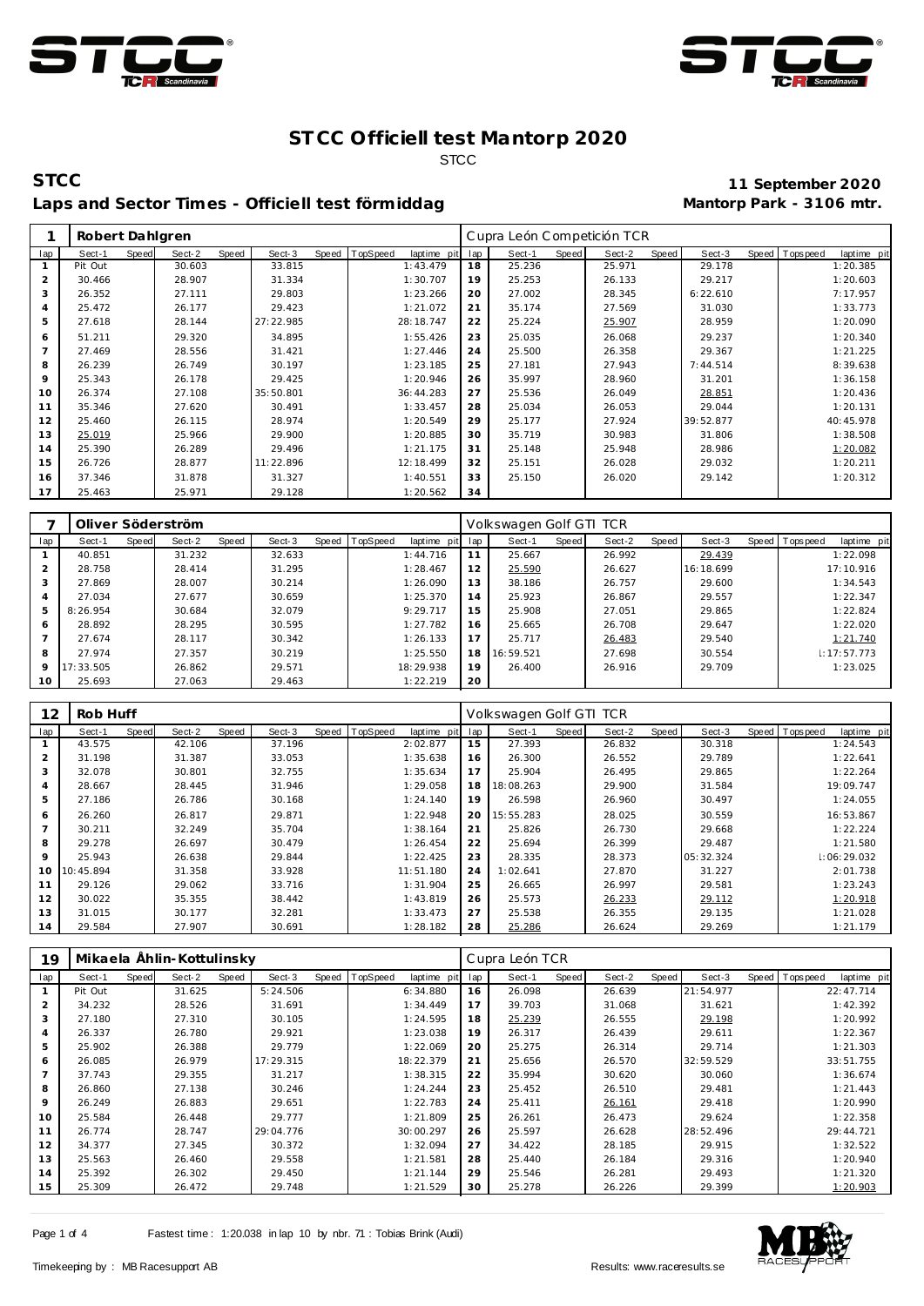



## Laps and Sector Times - Officiell test förmiddag **Mantorp Park - 3106 mtr.**

**STCC 11 September 2020**

|     | Robert Dahlgren |              |        |       |           |       |          |             |     | Cupra León Competición TCR |       |        |       |           |       |            |             |
|-----|-----------------|--------------|--------|-------|-----------|-------|----------|-------------|-----|----------------------------|-------|--------|-------|-----------|-------|------------|-------------|
| lap | Sect-1          | <b>Speed</b> | Sect-2 | Speed | Sect-3    | Speed | TopSpeed | laptime pit | lap | Sect-1                     | Speed | Sect-2 | Speed | Sect-3    | Speed | T ops peed | laptime pit |
|     | Pit Out         |              | 30.603 |       | 33.815    |       |          | 1:43.479    | 18  | 25.236                     |       | 25.971 |       | 29.178    |       |            | 1:20.385    |
| 2   | 30.466          |              | 28.907 |       | 31.334    |       |          | 1:30.707    | 19  | 25.253                     |       | 26.133 |       | 29.217    |       |            | 1:20.603    |
| 3   | 26.352          |              | 27.111 |       | 29.803    |       |          | 1:23.266    | 20  | 27.002                     |       | 28.345 |       | 6:22.610  |       |            | 7:17.957    |
| 4   | 25.472          |              | 26.177 |       | 29.423    |       |          | 1:21.072    | 21  | 35.174                     |       | 27.569 |       | 31.030    |       |            | 1:33.773    |
| 5   | 27.618          |              | 28.144 |       | 27:22.985 |       |          | 28:18.747   | 22  | 25.224                     |       | 25.907 |       | 28.959    |       |            | 1:20.090    |
| 6   | 51.211          |              | 29.320 |       | 34.895    |       |          | 1:55.426    | 23  | 25.035                     |       | 26.068 |       | 29.237    |       |            | 1:20.340    |
|     | 27.469          |              | 28.556 |       | 31.421    |       |          | 1:27.446    | 24  | 25.500                     |       | 26.358 |       | 29.367    |       |            | 1:21.225    |
| 8   | 26.239          |              | 26.749 |       | 30.197    |       |          | 1:23.185    | 25  | 27.181                     |       | 27.943 |       | 7:44.514  |       |            | 8:39.638    |
| 9   | 25.343          |              | 26.178 |       | 29.425    |       |          | 1:20.946    | 26  | 35.997                     |       | 28.960 |       | 31.201    |       |            | 1:36.158    |
| 10  | 26.374          |              | 27.108 |       | 35:50.801 |       |          | 36:44.283   | 27  | 25.536                     |       | 26.049 |       | 28.851    |       |            | 1:20.436    |
| 11  | 35.346          |              | 27.620 |       | 30.491    |       |          | 1:33.457    | 28  | 25.034                     |       | 26.053 |       | 29.044    |       |            | 1:20.131    |
| 12  | 25.460          |              | 26.115 |       | 28.974    |       |          | 1:20.549    | 29  | 25.177                     |       | 27.924 |       | 39:52.877 |       |            | 40:45.978   |
| 13  | 25.019          |              | 25.966 |       | 29.900    |       |          | 1:20.885    | 30  | 35.719                     |       | 30.983 |       | 31.806    |       |            | 1:38.508    |
| 14  | 25.390          |              | 26.289 |       | 29.496    |       |          | 1:21.175    | 31  | 25.148                     |       | 25.948 |       | 28.986    |       |            | 1:20.082    |
| 15  | 26.726          |              | 28.877 |       | 11:22.896 |       |          | 12:18.499   | 32  | 25.151                     |       | 26.028 |       | 29.032    |       |            | 1:20.211    |
| 16  | 37.346          |              | 31.878 |       | 31.327    |       |          | 1:40.551    | 33  | 25.150                     |       | 26.020 |       | 29.142    |       |            | 1:20.312    |
| 17  | 25.463          |              | 25.971 |       | 29.128    |       |          | 1:20.562    | 34  |                            |       |        |       |           |       |            |             |

|         |           |       | Oliver Söderström |       |        |       |          |             |     | Volkswagen Golf GTI TCR |       |        |       |           |       |            |             |
|---------|-----------|-------|-------------------|-------|--------|-------|----------|-------------|-----|-------------------------|-------|--------|-------|-----------|-------|------------|-------------|
| lap     | Sect-1    | Speed | Sect-2            | Speed | Sect-3 | Speed | TopSpeed | laptime pit | lap | Sect-1                  | Speed | Sect-2 | Speed | Sect-3    | Speed | T ops peed | laptime pit |
|         | 40.851    |       | 31.232            |       | 32.633 |       |          | 1:44.716    | 11  | 25.667                  |       | 26.992 |       | 29.439    |       |            | 1:22.098    |
| 2       | 28.758    |       | 28.414            |       | 31.295 |       |          | 1:28.467    | 12  | 25.590                  |       | 26.627 |       | 16:18.699 |       |            | 17:10.916   |
| 3       | 27.869    |       | 28.007            |       | 30.214 |       |          | 1:26.090    | 13  | 38.186                  |       | 26.757 |       | 29.600    |       |            | 1:34.543    |
| 4       | 27.034    |       | 27.677            |       | 30.659 |       |          | 1:25.370    | 14  | 25.923                  |       | 26.867 |       | 29.557    |       |            | 1:22.347    |
| 5       | 8:26.954  |       | 30.684            |       | 32.079 |       |          | 9:29.717    | 15  | 25.908                  |       | 27.051 |       | 29.865    |       |            | 1:22.824    |
| 6       | 28.892    |       | 28.295            |       | 30.595 |       |          | 1:27.782    | 16  | 25.665                  |       | 26.708 |       | 29.647    |       |            | 1:22.020    |
|         | 27.674    |       | 28.117            |       | 30.342 |       |          | 1:26.133    | 17  | 25.717                  |       | 26.483 |       | 29.540    |       |            | 1:21.740    |
| 8       | 27.974    |       | 27.357            |       | 30.219 |       |          | 1:25.550    | 18  | 16:59.521               |       | 27.698 |       | 30.554    |       |            | 1:17:57.773 |
| $\circ$ | 17:33.505 |       | 26.862            |       | 29.571 |       |          | 18:29.938   | 19  | 26.400                  |       | 26.916 |       | 29.709    |       |            | 1:23.025    |
| 10      | 25.693    |       | 27.063            |       | 29.463 |       |          | 1:22.219    | 20  |                         |       |        |       |           |       |            |             |

| 12              | Rob Huff  |       |        |       |        |                |             |     | Volkswagen Golf GTI TCR |       |        |       |           |                |             |
|-----------------|-----------|-------|--------|-------|--------|----------------|-------------|-----|-------------------------|-------|--------|-------|-----------|----------------|-------------|
| lap             | Sect-1    | Speed | Sect-2 | Speed | Sect-3 | Speed TopSpeed | laptime pit | lap | Sect-1                  | Speed | Sect-2 | Speed | Sect-3    | Speed Topspeed | laptime pit |
|                 | 43.575    |       | 42.106 |       | 37.196 |                | 2:02.877    | 15  | 27.393                  |       | 26.832 |       | 30.318    |                | 1:24.543    |
| $\overline{2}$  | 31.198    |       | 31.387 |       | 33.053 |                | 1:35.638    | 16  | 26.300                  |       | 26.552 |       | 29.789    |                | 1:22.641    |
| 3               | 32.078    |       | 30.801 |       | 32.755 |                | 1:35.634    | 17  | 25.904                  |       | 26.495 |       | 29.865    |                | 1:22.264    |
| 4               | 28.667    |       | 28.445 |       | 31.946 |                | 1:29.058    | 18  | 18:08.263               |       | 29.900 |       | 31.584    |                | 19:09.747   |
| 5               | 27.186    |       | 26.786 |       | 30.168 |                | 1:24.140    | 19  | 26.598                  |       | 26.960 |       | 30.497    |                | 1:24.055    |
| 6               | 26.260    |       | 26.817 |       | 29.871 |                | 1:22.948    | 20  | 15:55.283               |       | 28.025 |       | 30.559    |                | 16:53.867   |
|                 | 30.211    |       | 32.249 |       | 35.704 |                | 1:38.164    | 21  | 25.826                  |       | 26.730 |       | 29.668    |                | 1:22.224    |
| 8               | 29.278    |       | 26.697 |       | 30.479 |                | 1:26.454    | 22  | 25.694                  |       | 26.399 |       | 29.487    |                | 1:21.580    |
| 9               | 25.943    |       | 26.638 |       | 29.844 |                | 1:22.425    | 23  | 28.335                  |       | 28.373 |       | 05:32.324 |                | 1:06:29.032 |
| 10 <sup>°</sup> | 10:45.894 |       | 31.358 |       | 33.928 |                | 11:51.180   | 24  | 1:02.641                |       | 27.870 |       | 31.227    |                | 2:01.738    |
| 11              | 29.126    |       | 29.062 |       | 33.716 |                | 1:31.904    | 25  | 26.665                  |       | 26.997 |       | 29.581    |                | 1:23.243    |
| 12              | 30.022    |       | 35.355 |       | 38.442 |                | 1:43.819    | 26  | 25.573                  |       | 26.233 |       | 29.112    |                | 1:20.918    |
| 13              | 31.015    |       | 30.177 |       | 32.281 |                | 1:33.473    | 27  | 25.538                  |       | 26.355 |       | 29.135    |                | 1:21.028    |
| 14              | 29.584    |       | 27.907 |       | 30.691 |                | 1:28.182    | 28  | 25.286                  |       | 26.624 |       | 29.269    |                | 1:21.179    |

| 19             |         |       | Mikaela Ählin-Kottulinsky |       |           |       |          |             |     | Cupra León TCR |       |        |       |           |       |             |             |
|----------------|---------|-------|---------------------------|-------|-----------|-------|----------|-------------|-----|----------------|-------|--------|-------|-----------|-------|-------------|-------------|
| lap            | Sect-1  | Speed | Sect-2                    | Speed | Sect-3    | Speed | TopSpeed | laptime pit | lap | Sect-1         | Speed | Sect-2 | Speed | Sect-3    | Speed | T ops pee d | laptime pit |
|                | Pit Out |       | 31.625                    |       | 5:24.506  |       |          | 6:34.880    | 16  | 26.098         |       | 26.639 |       | 21:54.977 |       |             | 22:47.714   |
| 2              | 34.232  |       | 28.526                    |       | 31.691    |       |          | 1:34.449    | 17  | 39.703         |       | 31.068 |       | 31.621    |       |             | 1:42.392    |
| 3              | 27.180  |       | 27.310                    |       | 30.105    |       |          | 1:24.595    | 18  | 25.239         |       | 26.555 |       | 29.198    |       |             | 1:20.992    |
| 4              | 26.337  |       | 26.780                    |       | 29.921    |       |          | 1:23.038    | 19  | 26.317         |       | 26.439 |       | 29.611    |       |             | 1:22.367    |
| 5              | 25.902  |       | 26.388                    |       | 29.779    |       |          | 1:22.069    | 20  | 25.275         |       | 26.314 |       | 29.714    |       |             | 1:21.303    |
| 6              | 26.085  |       | 26.979                    |       | 17:29.315 |       |          | 18:22.379   | 21  | 25.656         |       | 26.570 |       | 32:59.529 |       |             | 33:51.755   |
| $\overline{7}$ | 37.743  |       | 29.355                    |       | 31.217    |       |          | 1:38.315    | 22  | 35.994         |       | 30.620 |       | 30.060    |       |             | 1:36.674    |
| 8              | 26.860  |       | 27.138                    |       | 30.246    |       |          | 1:24.244    | 23  | 25.452         |       | 26.510 |       | 29.481    |       |             | 1:21.443    |
| 9              | 26.249  |       | 26.883                    |       | 29.651    |       |          | 1:22.783    | 24  | 25.411         |       | 26.161 |       | 29.418    |       |             | 1:20.990    |
| 10             | 25.584  |       | 26.448                    |       | 29.777    |       |          | 1:21.809    | 25  | 26.261         |       | 26.473 |       | 29.624    |       |             | 1:22.358    |
| 11             | 26.774  |       | 28.747                    |       | 29:04.776 |       |          | 30:00.297   | 26  | 25.597         |       | 26.628 |       | 28:52.496 |       |             | 29:44.721   |
| 12             | 34.377  |       | 27.345                    |       | 30.372    |       |          | 1:32.094    | 27  | 34.422         |       | 28.185 |       | 29.915    |       |             | 1:32.522    |
| 13             | 25.563  |       | 26.460                    |       | 29.558    |       |          | 1:21.581    | 28  | 25.440         |       | 26.184 |       | 29.316    |       |             | 1:20.940    |
| 14             | 25.392  |       | 26.302                    |       | 29.450    |       |          | 1:21.144    | 29  | 25.546         |       | 26.281 |       | 29.493    |       |             | 1:21.320    |
| 15             | 25.309  |       | 26.472                    |       | 29.748    |       |          | 1:21.529    | 30  | 25.278         |       | 26.226 |       | 29.399    |       |             | 1:20.903    |

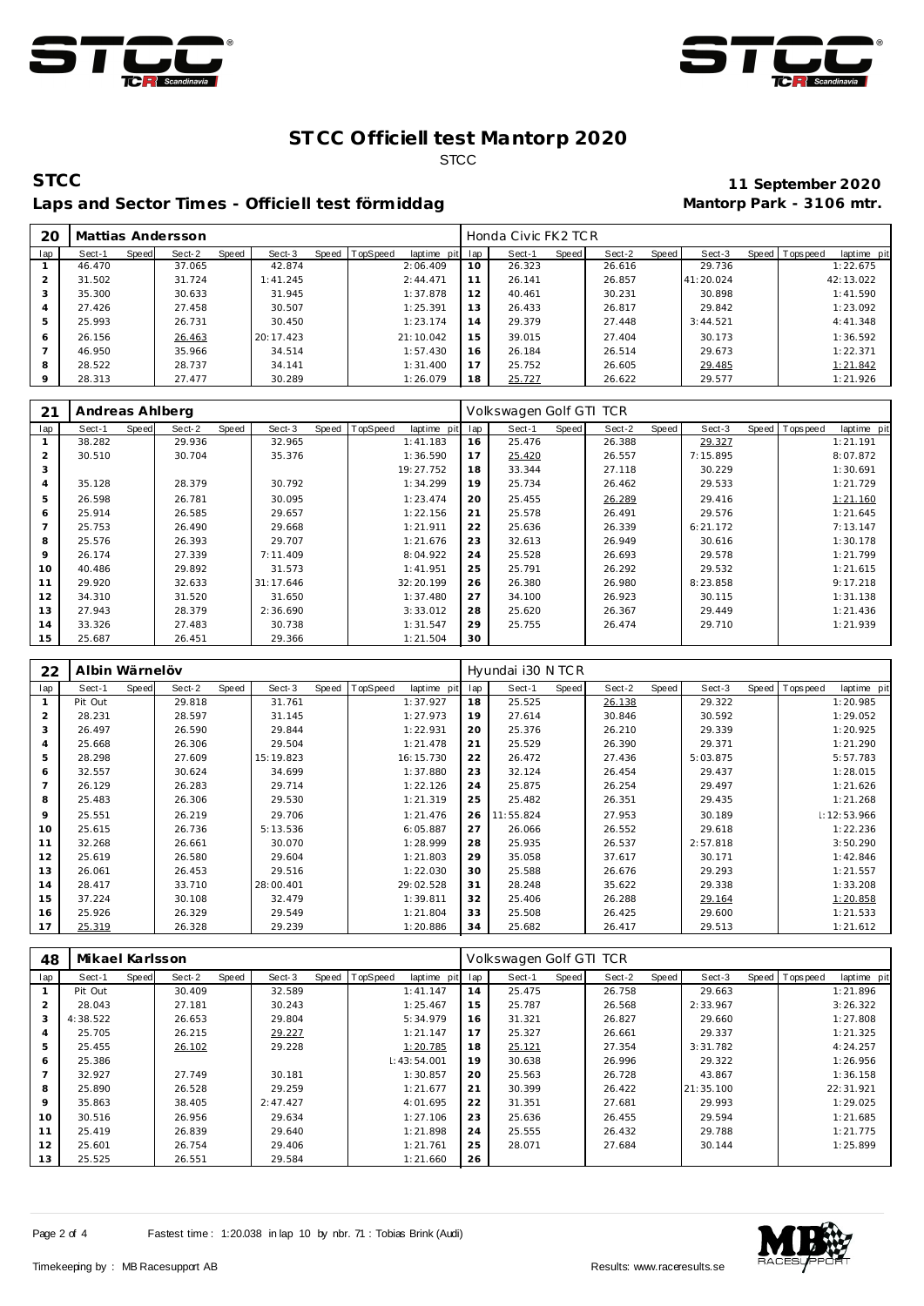



## Laps and Sector Times - Officiell test förmiddag **Mantorp Park - 3106 mtr.**

**STCC 11 September 2020**

|     | 20 |        |       | Mattias Andersson |       |           |       |          |             |     | Honda Civic FK2 TCR |       |        |       |           |                 |             |
|-----|----|--------|-------|-------------------|-------|-----------|-------|----------|-------------|-----|---------------------|-------|--------|-------|-----------|-----------------|-------------|
| lap |    | Sect-1 | Speed | Sect-2            | Speed | Sect-3    | Speed | TopSpeed | laptime pit | lap | Sect-1              | Speed | Sect-2 | Speed | Sect-3    | Speed Tops peed | laptime pit |
|     |    | 46.470 |       | 37.065            |       | 42.874    |       |          | 2:06.409    | 10  | 26.323              |       | 26.616 |       | 29.736    |                 | 1:22.675    |
|     |    | 31.502 |       | 31.724            |       | 1:41.245  |       |          | 2: 44.471   |     | 26.141              |       | 26.857 |       | 41:20.024 |                 | 42:13.022   |
| 3   |    | 35.300 |       | 30.633            |       | 31.945    |       |          | 1:37.878    | 12  | 40.461              |       | 30.231 |       | 30.898    |                 | 1:41.590    |
| 4   |    | 27.426 |       | 27.458            |       | 30.507    |       |          | 1:25.391    | 13  | 26.433              |       | 26.817 |       | 29.842    |                 | 1:23.092    |
|     | 5  | 25.993 |       | 26.731            |       | 30.450    |       |          | 1:23.174    | 14  | 29.379              |       | 27.448 |       | 3:44.521  |                 | 4:41.348    |
| 6   |    | 26.156 |       | 26.463            |       | 20:17.423 |       |          | 21:10.042   | 15  | 39.015              |       | 27.404 |       | 30.173    |                 | 1:36.592    |
|     |    | 46.950 |       | 35.966            |       | 34.514    |       |          | 1:57.430    | 16  | 26.184              |       | 26.514 |       | 29.673    |                 | 1:22.371    |
| 8   |    | 28.522 |       | 28.737            |       | 34.141    |       |          | 1:31.400    | 17  | 25.752              |       | 26.605 |       | 29.485    |                 | 1:21.842    |
|     |    | 28.313 |       | 27.477            |       | 30.289    |       |          | 1:26.079    | 18  | 25.727              |       | 26.622 |       | 29.577    |                 | 1:21.926    |

| 21             | Andreas Ahlberg |              |        |       |           |                |             |     | Volkswagen Golf GTI TCR |       |        |       |          |                   |             |
|----------------|-----------------|--------------|--------|-------|-----------|----------------|-------------|-----|-------------------------|-------|--------|-------|----------|-------------------|-------------|
| lap            | Sect-1          | <b>Speed</b> | Sect-2 | Speed | Sect-3    | Speed TopSpeed | laptime pit | lap | Sect-1                  | Speed | Sect-2 | Speed | Sect-3   | Speed   Tops peed | laptime pit |
|                | 38.282          |              | 29.936 |       | 32.965    |                | 1:41.183    | 16  | 25.476                  |       | 26.388 |       | 29.327   |                   | 1:21.191    |
| $\overline{2}$ | 30.510          |              | 30.704 |       | 35.376    |                | 1:36.590    | 17  | 25.420                  |       | 26.557 |       | 7:15.895 |                   | 8:07.872    |
| 3              |                 |              |        |       |           |                | 19:27.752   | 18  | 33.344                  |       | 27.118 |       | 30.229   |                   | 1:30.691    |
| $\overline{4}$ | 35.128          |              | 28.379 |       | 30.792    |                | 1:34.299    | 19  | 25.734                  |       | 26.462 |       | 29.533   |                   | 1:21.729    |
| 5              | 26.598          |              | 26.781 |       | 30.095    |                | 1:23.474    | 20  | 25.455                  |       | 26.289 |       | 29.416   |                   | 1:21.160    |
| 6              | 25.914          |              | 26.585 |       | 29.657    |                | 1:22.156    | 21  | 25.578                  |       | 26.491 |       | 29.576   |                   | 1:21.645    |
| $\overline{7}$ | 25.753          |              | 26.490 |       | 29.668    |                | 1:21.911    | 22  | 25.636                  |       | 26.339 |       | 6:21.172 |                   | 7:13.147    |
| 8              | 25.576          |              | 26.393 |       | 29.707    |                | 1:21.676    | 23  | 32.613                  |       | 26.949 |       | 30.616   |                   | 1:30.178    |
| 9              | 26.174          |              | 27.339 |       | 7:11.409  |                | 8:04.922    | 24  | 25.528                  |       | 26.693 |       | 29.578   |                   | 1:21.799    |
| 10             | 40.486          |              | 29.892 |       | 31.573    |                | 1:41.951    | 25  | 25.791                  |       | 26.292 |       | 29.532   |                   | 1:21.615    |
| 11             | 29.920          |              | 32.633 |       | 31:17.646 |                | 32:20.199   | 26  | 26.380                  |       | 26.980 |       | 8:23.858 |                   | 9:17.218    |
| 12             | 34.310          |              | 31.520 |       | 31.650    |                | 1:37.480    | 27  | 34.100                  |       | 26.923 |       | 30.115   |                   | 1:31.138    |
| 13             | 27.943          |              | 28.379 |       | 2:36.690  |                | 3:33.012    | 28  | 25.620                  |       | 26.367 |       | 29.449   |                   | 1:21.436    |
| 14             | 33.326          |              | 27.483 |       | 30.738    |                | 1:31.547    | 29  | 25.755                  |       | 26.474 |       | 29.710   |                   | 1:21.939    |
| 15             | 25.687          |              | 26.451 |       | 29.366    |                | 1:21.504    | 30  |                         |       |        |       |          |                   |             |

| 22             | Albin Wärnelöv |       |        |       |           |       |          |             |     | Hyundai i30 N TCR |       |        |       |          |       |             |             |
|----------------|----------------|-------|--------|-------|-----------|-------|----------|-------------|-----|-------------------|-------|--------|-------|----------|-------|-------------|-------------|
| lap            | Sect-1         | Speed | Sect-2 | Speed | Sect-3    | Speed | TopSpeed | laptime pit | lap | Sect-1            | Speed | Sect-2 | Speed | Sect-3   | Speed | T ops pee d | laptime pit |
|                | Pit Out        |       | 29.818 |       | 31.761    |       |          | 1:37.927    | 18  | 25.525            |       | 26.138 |       | 29.322   |       |             | 1:20.985    |
| $\overline{2}$ | 28.231         |       | 28.597 |       | 31.145    |       |          | 1:27.973    | 19  | 27.614            |       | 30.846 |       | 30.592   |       |             | 1:29.052    |
| 3              | 26.497         |       | 26.590 |       | 29.844    |       |          | 1:22.931    | 20  | 25.376            |       | 26.210 |       | 29.339   |       |             | 1:20.925    |
| 4              | 25.668         |       | 26.306 |       | 29.504    |       |          | 1:21.478    | 21  | 25.529            |       | 26.390 |       | 29.371   |       |             | 1:21.290    |
| 5              | 28.298         |       | 27.609 |       | 15:19.823 |       |          | 16:15.730   | 22  | 26.472            |       | 27.436 |       | 5:03.875 |       |             | 5:57.783    |
| 6              | 32.557         |       | 30.624 |       | 34.699    |       |          | 1:37.880    | 23  | 32.124            |       | 26.454 |       | 29.437   |       |             | 1:28.015    |
| $\overline{7}$ | 26.129         |       | 26.283 |       | 29.714    |       |          | 1:22.126    | 24  | 25.875            |       | 26.254 |       | 29.497   |       |             | 1:21.626    |
| 8              | 25.483         |       | 26.306 |       | 29.530    |       |          | 1:21.319    | 25  | 25.482            |       | 26.351 |       | 29.435   |       |             | 1:21.268    |
| 9              | 25.551         |       | 26.219 |       | 29.706    |       |          | 1:21.476    | 26  | 11:55.824         |       | 27.953 |       | 30.189   |       |             | 1:12:53.966 |
| 10             | 25.615         |       | 26.736 |       | 5:13.536  |       |          | 6:05.887    | 27  | 26.066            |       | 26.552 |       | 29.618   |       |             | 1:22.236    |
| 11             | 32.268         |       | 26.661 |       | 30.070    |       |          | 1:28.999    | 28  | 25.935            |       | 26.537 |       | 2:57.818 |       |             | 3:50.290    |
| 12             | 25.619         |       | 26.580 |       | 29.604    |       |          | 1:21.803    | 29  | 35.058            |       | 37.617 |       | 30.171   |       |             | 1:42.846    |
| 13             | 26.061         |       | 26.453 |       | 29.516    |       |          | 1:22.030    | 30  | 25.588            |       | 26.676 |       | 29.293   |       |             | 1:21.557    |
| 14             | 28.417         |       | 33.710 |       | 28:00.401 |       |          | 29:02.528   | 31  | 28.248            |       | 35.622 |       | 29.338   |       |             | 1:33.208    |
| 15             | 37.224         |       | 30.108 |       | 32.479    |       |          | 1:39.811    | 32  | 25.406            |       | 26.288 |       | 29.164   |       |             | 1:20.858    |
| 16             | 25.926         |       | 26.329 |       | 29.549    |       |          | 1:21.804    | 33  | 25.508            |       | 26.425 |       | 29.600   |       |             | 1:21.533    |
| 17             | 25.319         |       | 26.328 |       | 29.239    |       |          | 1:20.886    | 34  | 25.682            |       | 26.417 |       | 29.513   |       |             | 1:21.612    |

| 48             | Mikael Karlsson |       |        |       |          |       |          |             |     | Volkswagen Golf GTI TCR |       |        |       |           |       |          |             |
|----------------|-----------------|-------|--------|-------|----------|-------|----------|-------------|-----|-------------------------|-------|--------|-------|-----------|-------|----------|-------------|
| lap            | Sect-1          | Speed | Sect-2 | Speed | Sect-3   | Speed | TopSpeed | laptime pit | lap | Sect-1                  | Speed | Sect-2 | Speed | Sect-3    | Speed | Topspeed | laptime pit |
|                | Pit Out         |       | 30.409 |       | 32.589   |       |          | 1:41.147    | 14  | 25.475                  |       | 26.758 |       | 29.663    |       |          | 1:21.896    |
| $\overline{2}$ | 28.043          |       | 27.181 |       | 30.243   |       |          | 1:25.467    | 15  | 25.787                  |       | 26.568 |       | 2:33.967  |       |          | 3:26.322    |
| 3              | 4:38.522        |       | 26.653 |       | 29.804   |       |          | 5:34.979    | 16  | 31.321                  |       | 26.827 |       | 29.660    |       |          | 1:27.808    |
| $\overline{4}$ | 25.705          |       | 26.215 |       | 29.227   |       |          | 1:21.147    | 17  | 25.327                  |       | 26.661 |       | 29.337    |       |          | 1:21.325    |
| 5              | 25.455          |       | 26.102 |       | 29.228   |       |          | 1:20.785    | 18  | 25.121                  |       | 27.354 |       | 3:31.782  |       |          | 4:24.257    |
| 6              | 25.386          |       |        |       |          |       |          | 1:43:54.001 | 19  | 30.638                  |       | 26.996 |       | 29.322    |       |          | 1:26.956    |
|                | 32.927          |       | 27.749 |       | 30.181   |       |          | 1:30.857    | 20  | 25.563                  |       | 26.728 |       | 43.867    |       |          | 1:36.158    |
| 8              | 25.890          |       | 26.528 |       | 29.259   |       |          | 1:21.677    | 21  | 30.399                  |       | 26.422 |       | 21:35.100 |       |          | 22:31.921   |
| 9              | 35.863          |       | 38.405 |       | 2:47.427 |       |          | 4:01.695    | 22  | 31.351                  |       | 27.681 |       | 29.993    |       |          | 1:29.025    |
| 10             | 30.516          |       | 26.956 |       | 29.634   |       |          | 1:27.106    | 23  | 25.636                  |       | 26.455 |       | 29.594    |       |          | 1:21.685    |
| 11             | 25.419          |       | 26.839 |       | 29.640   |       |          | 1:21.898    | 24  | 25.555                  |       | 26.432 |       | 29.788    |       |          | 1:21.775    |
| 12             | 25.601          |       | 26.754 |       | 29.406   |       |          | 1:21.761    | 25  | 28.071                  |       | 27.684 |       | 30.144    |       |          | 1:25.899    |
| 13             | 25.525          |       | 26.551 |       | 29.584   |       |          | 1:21.660    | 26  |                         |       |        |       |           |       |          |             |

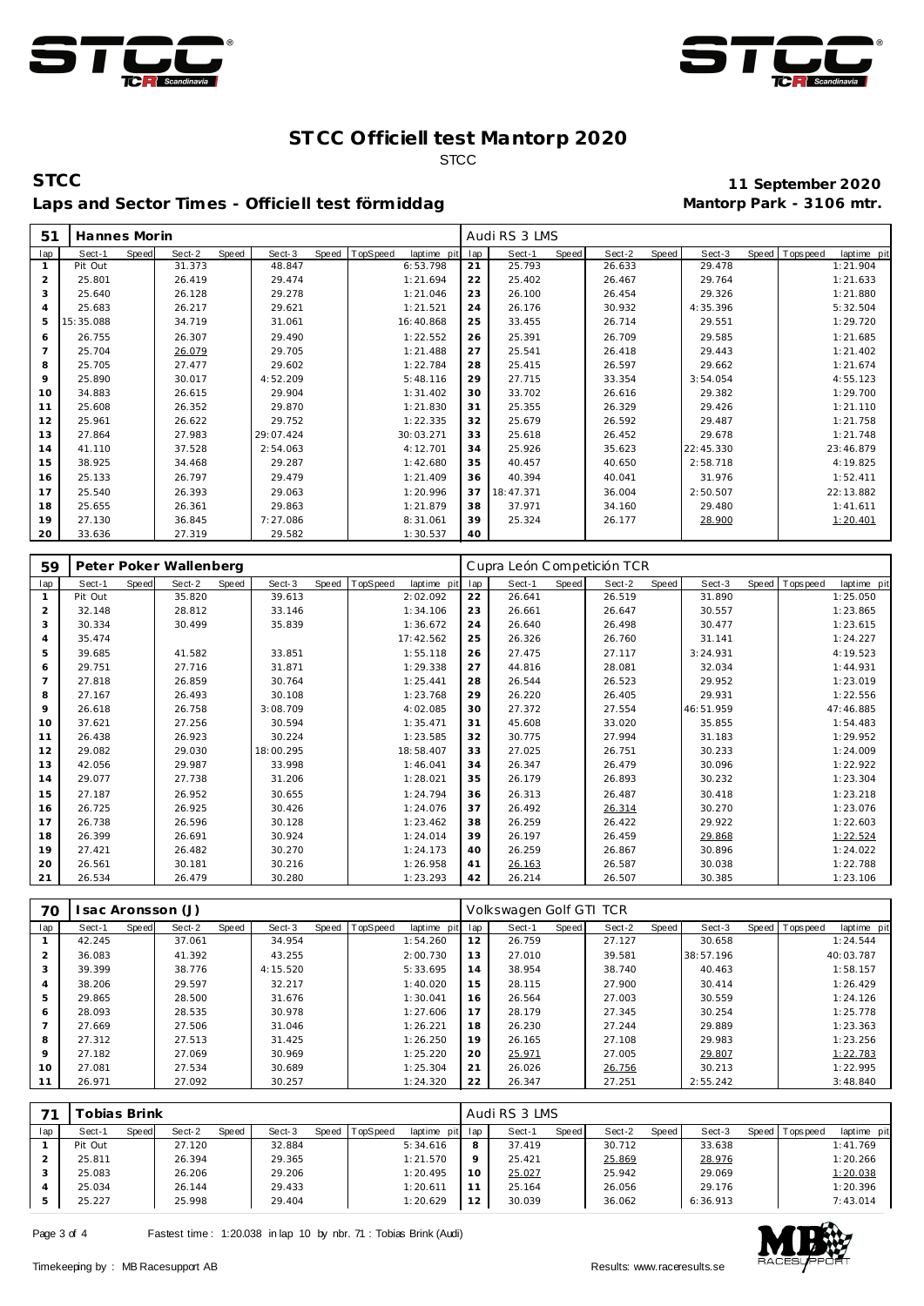



**STCC 11 September 2020** Laps and Sector Times - Officiell test förmiddag

| 51  | Hannes Morin |       |        |       |           |       |          |             |     | Audi RS 3 LMS |       |        |       |           |                |             |
|-----|--------------|-------|--------|-------|-----------|-------|----------|-------------|-----|---------------|-------|--------|-------|-----------|----------------|-------------|
| lap | Sect-1       | Speed | Sect-2 | Speed | Sect-3    | Speed | TopSpeed | laptime pit | lap | Sect-1        | Speed | Sect-2 | Speed | Sect-3    | Speed Topspeed | laptime pit |
| 1   | Pit Out      |       | 31.373 |       | 48.847    |       |          | 6:53.798    | 21  | 25.793        |       | 26.633 |       | 29.478    |                | 1:21.904    |
| 2   | 25.801       |       | 26.419 |       | 29.474    |       |          | 1:21.694    | 22  | 25.402        |       | 26.467 |       | 29.764    |                | 1:21.633    |
| 3   | 25.640       |       | 26.128 |       | 29.278    |       |          | 1:21.046    | 23  | 26.100        |       | 26.454 |       | 29.326    |                | 1:21.880    |
| 4   | 25.683       |       | 26.217 |       | 29.621    |       |          | 1:21.521    | 24  | 26.176        |       | 30.932 |       | 4:35.396  |                | 5:32.504    |
| 5   | 15:35.088    |       | 34.719 |       | 31.061    |       |          | 16:40.868   | 25  | 33.455        |       | 26.714 |       | 29.551    |                | 1:29.720    |
| 6   | 26.755       |       | 26.307 |       | 29.490    |       |          | 1:22.552    | 26  | 25.391        |       | 26.709 |       | 29.585    |                | 1:21.685    |
| 7   | 25.704       |       | 26.079 |       | 29.705    |       |          | 1:21.488    | 27  | 25.541        |       | 26.418 |       | 29.443    |                | 1:21.402    |
| 8   | 25.705       |       | 27.477 |       | 29.602    |       |          | 1:22.784    | 28  | 25.415        |       | 26.597 |       | 29.662    |                | 1:21.674    |
| 9   | 25.890       |       | 30.017 |       | 4:52.209  |       |          | 5:48.116    | 29  | 27.715        |       | 33.354 |       | 3:54.054  |                | 4:55.123    |
| 10  | 34.883       |       | 26.615 |       | 29.904    |       |          | 1:31.402    | 30  | 33.702        |       | 26.616 |       | 29.382    |                | 1:29.700    |
| 11  | 25.608       |       | 26.352 |       | 29.870    |       |          | 1:21.830    | 31  | 25.355        |       | 26.329 |       | 29.426    |                | 1:21.110    |
| 12  | 25.961       |       | 26.622 |       | 29.752    |       |          | 1:22.335    | 32  | 25.679        |       | 26.592 |       | 29.487    |                | 1:21.758    |
| 13  | 27.864       |       | 27.983 |       | 29:07.424 |       |          | 30:03.271   | 33  | 25.618        |       | 26.452 |       | 29.678    |                | 1:21.748    |
| 14  | 41.110       |       | 37.528 |       | 2:54.063  |       |          | 4:12.701    | 34  | 25.926        |       | 35.623 |       | 22:45.330 |                | 23:46.879   |
| 15  | 38.925       |       | 34.468 |       | 29.287    |       |          | 1:42.680    | 35  | 40.457        |       | 40.650 |       | 2:58.718  |                | 4:19.825    |
| 16  | 25.133       |       | 26.797 |       | 29.479    |       |          | 1:21.409    | 36  | 40.394        |       | 40.041 |       | 31.976    |                | 1:52.411    |
| 17  | 25.540       |       | 26.393 |       | 29.063    |       |          | 1:20.996    | 37  | 18:47.371     |       | 36.004 |       | 2:50.507  |                | 22:13.882   |
| 18  | 25.655       |       | 26.361 |       | 29.863    |       |          | 1:21.879    | 38  | 37.971        |       | 34.160 |       | 29.480    |                | 1:41.611    |
| 19  | 27.130       |       | 36.845 |       | 7:27.086  |       |          | 8:31.061    | 39  | 25.324        |       | 26.177 |       | 28.900    |                | 1:20.401    |
| 20  | 33.636       |       | 27.319 |       | 29.582    |       |          | 1:30.537    | 40  |               |       |        |       |           |                |             |

| 59  |         |              | Peter Poker Wallenberg |       |           |       |          |             |     | Cupra León Competición TCR |       |        |       |           |       |                 |             |
|-----|---------|--------------|------------------------|-------|-----------|-------|----------|-------------|-----|----------------------------|-------|--------|-------|-----------|-------|-----------------|-------------|
| lap | Sect-1  | <b>Speed</b> | Sect-2                 | Speed | Sect-3    | Speed | TopSpeed | laptime pit | lap | Sect-1                     | Speed | Sect-2 | Speed | Sect-3    | Speed | <b>Topspeed</b> | laptime pit |
|     | Pit Out |              | 35.820                 |       | 39.613    |       |          | 2:02.092    | 22  | 26.641                     |       | 26.519 |       | 31.890    |       |                 | 1:25.050    |
| 2   | 32.148  |              | 28.812                 |       | 33.146    |       |          | 1:34.106    | 23  | 26.661                     |       | 26.647 |       | 30.557    |       |                 | 1:23.865    |
| 3   | 30.334  |              | 30.499                 |       | 35.839    |       |          | 1:36.672    | 24  | 26.640                     |       | 26.498 |       | 30.477    |       |                 | 1:23.615    |
| 4   | 35.474  |              |                        |       |           |       |          | 17:42.562   | 25  | 26.326                     |       | 26.760 |       | 31.141    |       |                 | 1:24.227    |
| 5   | 39.685  |              | 41.582                 |       | 33.851    |       |          | 1:55.118    | 26  | 27.475                     |       | 27.117 |       | 3:24.931  |       |                 | 4:19.523    |
| 6   | 29.751  |              | 27.716                 |       | 31.871    |       |          | 1:29.338    | 27  | 44.816                     |       | 28.081 |       | 32.034    |       |                 | 1:44.931    |
| 7   | 27.818  |              | 26.859                 |       | 30.764    |       |          | 1:25.441    | 28  | 26.544                     |       | 26.523 |       | 29.952    |       |                 | 1:23.019    |
| 8   | 27.167  |              | 26.493                 |       | 30.108    |       |          | 1:23.768    | 29  | 26.220                     |       | 26.405 |       | 29.931    |       |                 | 1:22.556    |
| 9   | 26.618  |              | 26.758                 |       | 3:08.709  |       |          | 4:02.085    | 30  | 27.372                     |       | 27.554 |       | 46:51.959 |       |                 | 47:46.885   |
| 10  | 37.621  |              | 27.256                 |       | 30.594    |       |          | 1:35.471    | 31  | 45.608                     |       | 33.020 |       | 35.855    |       |                 | 1:54.483    |
| 11  | 26.438  |              | 26.923                 |       | 30.224    |       |          | 1:23.585    | 32  | 30.775                     |       | 27.994 |       | 31.183    |       |                 | 1:29.952    |
| 12  | 29.082  |              | 29.030                 |       | 18:00.295 |       |          | 18:58.407   | 33  | 27.025                     |       | 26.751 |       | 30.233    |       |                 | 1:24.009    |
| 13  | 42.056  |              | 29.987                 |       | 33.998    |       |          | 1:46.041    | 34  | 26.347                     |       | 26.479 |       | 30.096    |       |                 | 1:22.922    |
| 14  | 29.077  |              | 27.738                 |       | 31.206    |       |          | 1:28.021    | 35  | 26.179                     |       | 26.893 |       | 30.232    |       |                 | 1:23.304    |
| 15  | 27.187  |              | 26.952                 |       | 30.655    |       |          | 1:24.794    | 36  | 26.313                     |       | 26.487 |       | 30.418    |       |                 | 1:23.218    |
| 16  | 26.725  |              | 26.925                 |       | 30.426    |       |          | 1:24.076    | 37  | 26.492                     |       | 26.314 |       | 30.270    |       |                 | 1:23.076    |
| 17  | 26.738  |              | 26.596                 |       | 30.128    |       |          | 1:23.462    | 38  | 26.259                     |       | 26.422 |       | 29.922    |       |                 | 1:22.603    |
| 18  | 26.399  |              | 26.691                 |       | 30.924    |       |          | 1:24.014    | 39  | 26.197                     |       | 26.459 |       | 29.868    |       |                 | 1:22.524    |
| 19  | 27.421  |              | 26.482                 |       | 30.270    |       |          | 1:24.173    | 40  | 26.259                     |       | 26.867 |       | 30.896    |       |                 | 1:24.022    |
| 20  | 26.561  |              | 30.181                 |       | 30.216    |       |          | 1:26.958    | 41  | 26.163                     |       | 26.587 |       | 30.038    |       |                 | 1:22.788    |
| 21  | 26.534  |              | 26.479                 |       | 30.280    |       |          | 1:23.293    | 42  | 26.214                     |       | 26.507 |       | 30.385    |       |                 | 1:23.106    |

| 70             |        |       | sac Aronsson (J) |       |          |                |                |     | Volkswagen Golf GTI TCR |       |        |       |           |                |             |
|----------------|--------|-------|------------------|-------|----------|----------------|----------------|-----|-------------------------|-------|--------|-------|-----------|----------------|-------------|
| lap            | Sect-1 | Speed | Sect-2           | Speed | Sect-3   | Speed TopSpeed | laptime<br>pit | lap | Sect-1                  | Speed | Sect-2 | Speed | Sect-3    | Speed Topspeed | laptime pit |
|                | 42.245 |       | 37.061           |       | 34.954   |                | 1:54.260       | 12  | 26.759                  |       | 27.127 |       | 30.658    |                | 1:24.544    |
| $\overline{2}$ | 36.083 |       | 41.392           |       | 43.255   |                | 2:00.730       | 13  | 27.010                  |       | 39.581 |       | 38:57.196 |                | 40:03.787   |
| 3              | 39.399 |       | 38.776           |       | 4:15.520 |                | 5:33.695       | 14  | 38.954                  |       | 38.740 |       | 40.463    |                | 1:58.157    |
| 4              | 38.206 |       | 29.597           |       | 32.217   |                | 1:40.020       | 15  | 28.115                  |       | 27.900 |       | 30.414    |                | 1:26.429    |
| 5              | 29.865 |       | 28.500           |       | 31.676   |                | 1:30.041       | 16  | 26.564                  |       | 27.003 |       | 30.559    |                | 1:24.126    |
| 6              | 28.093 |       | 28.535           |       | 30.978   |                | 1:27.606       | 17  | 28.179                  |       | 27.345 |       | 30.254    |                | 1:25.778    |
|                | 27.669 |       | 27.506           |       | 31.046   |                | 1:26.221       | 18  | 26.230                  |       | 27.244 |       | 29.889    |                | 1:23.363    |
| 8              | 27.312 |       | 27.513           |       | 31.425   |                | 1:26.250       | 19  | 26.165                  |       | 27.108 |       | 29.983    |                | 1:23.256    |
| 9              | 27.182 |       | 27.069           |       | 30.969   |                | 1:25.220       | 20  | 25.971                  |       | 27.005 |       | 29.807    |                | 1:22.783    |
| 10             | 27.081 |       | 27.534           |       | 30.689   |                | 1:25.304       | 21  | 26.026                  |       | 26.756 |       | 30.213    |                | 1:22.995    |
|                | 26.971 |       | 27.092           |       | 30.257   |                | 1:24.320       | 22  | 26.347                  |       | 27.251 |       | 2:55.242  |                | 3:48.840    |

|     |         | obias Brink |        |       |        |       |          |             |         | Audi RS 3 LMS |       |        |              |          |       |            |             |
|-----|---------|-------------|--------|-------|--------|-------|----------|-------------|---------|---------------|-------|--------|--------------|----------|-------|------------|-------------|
| lap | Sect-1  | Speed       | Sect-2 | Speed | Sect-3 | Speed | TopSpeed | laptime pit | lap     | Sect-1        | Speed | Sect-2 | <b>Speed</b> | Sect-3   | Speed | T ops peed | laptime pit |
|     | Pit Out |             | 27.120 |       | 32.884 |       |          | 5:34.616    | 8       | 37.419        |       | 30.712 |              | 33.638   |       |            | 1:41.769    |
|     | 25.811  |             | 26.394 |       | 29.365 |       |          | 1:21.570    | $\circ$ | 25.421        |       | 25.869 |              | 28.976   |       |            | 1:20.266    |
|     | 25.083  |             | 26.206 |       | 29.206 |       |          | 1:20.495    | 10      | 25.027        |       | 25.942 |              | 29.069   |       |            | 1:20.038    |
|     | 25.034  |             | 26.144 |       | 29.433 |       |          | 1:20.611    |         | 25.164        |       | 26.056 |              | 29.176   |       |            | 1:20.396    |
|     | 25.227  |             | 25.998 |       | 29.404 |       |          | 1:20.629    | 12      | 30.039        |       | 36.062 |              | 6:36.913 |       |            | 7:43.014    |